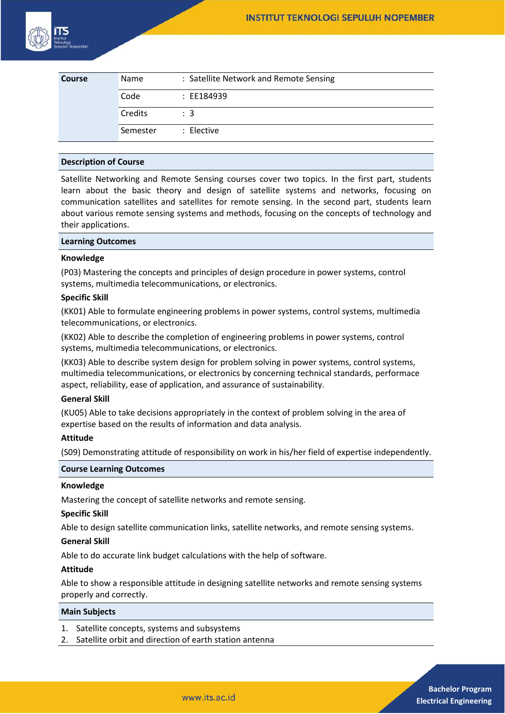

| <b>Course</b> | Name     | : Satellite Network and Remote Sensing |
|---------------|----------|----------------------------------------|
|               | Code     | : EE184939                             |
|               | Credits  | $\therefore$ 3                         |
|               | Semester | : Elective                             |

## **Description of Course**

Satellite Networking and Remote Sensing courses cover two topics. In the first part, students learn about the basic theory and design of satellite systems and networks, focusing on communication satellites and satellites for remote sensing. In the second part, students learn about various remote sensing systems and methods, focusing on the concepts of technology and their applications.

## **Learning Outcomes**

### **Knowledge**

(P03) Mastering the concepts and principles of design procedure in power systems, control systems, multimedia telecommunications, or electronics.

### **Specific Skill**

(KK01) Able to formulate engineering problems in power systems, control systems, multimedia telecommunications, or electronics.

(KK02) Able to describe the completion of engineering problems in power systems, control systems, multimedia telecommunications, or electronics.

(KK03) Able to describe system design for problem solving in power systems, control systems, multimedia telecommunications, or electronics by concerning technical standards, performace aspect, reliability, ease of application, and assurance of sustainability.

#### **General Skill**

(KU05) Able to take decisions appropriately in the context of problem solving in the area of expertise based on the results of information and data analysis.

## **Attitude**

(S09) Demonstrating attitude of responsibility on work in his/her field of expertise independently.

### **Course Learning Outcomes**

### **Knowledge**

Mastering the concept of satellite networks and remote sensing.

## **Specific Skill**

Able to design satellite communication links, satellite networks, and remote sensing systems.

### **General Skill**

Able to do accurate link budget calculations with the help of software.

### **Attitude**

Able to show a responsible attitude in designing satellite networks and remote sensing systems properly and correctly.

#### **Main Subjects**

- 1. Satellite concepts, systems and subsystems
- 2. Satellite orbit and direction of earth station antenna